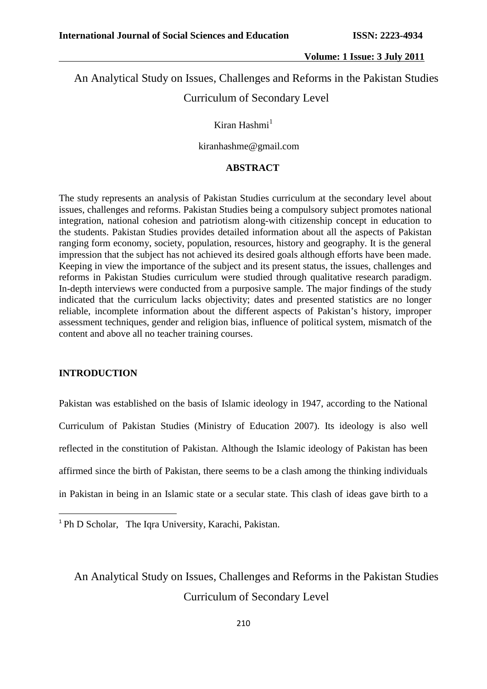### An Analytical Study on Issues, Challenges and Reforms in the Pakistan Studies Curriculum of Secondary Level

Kiran Hashmi $<sup>1</sup>$ </sup>

kiranhashme@gmail.com

### **ABSTRACT**

The study represents an analysis of Pakistan Studies curriculum at the secondary level about issues, challenges and reforms. Pakistan Studies being a compulsory subject promotes national integration, national cohesion and patriotism along-with citizenship concept in education to the students. Pakistan Studies provides detailed information about all the aspects of Pakistan ranging form economy, society, population, resources, history and geography. It is the general impression that the subject has not achieved its desired goals although efforts have been made. Keeping in view the importance of the subject and its present status, the issues, challenges and reforms in Pakistan Studies curriculum were studied through qualitative research paradigm. In-depth interviews were conducted from a purposive sample. The major findings of the study indicated that the curriculum lacks objectivity; dates and presented statistics are no longer reliable, incomplete information about the different aspects of Pakistan's history, improper assessment techniques, gender and religion bias, influence of political system, mismatch of the content and above all no teacher training courses.

### **INTRODUCTION**

Pakistan was established on the basis of Islamic ideology in 1947, according to the National Curriculum of Pakistan Studies (Ministry of Education 2007). Its ideology is also well reflected in the constitution of Pakistan. Although the Islamic ideology of Pakistan has been affirmed since the birth of Pakistan, there seems to be a clash among the thinking individuals in Pakistan in being in an Islamic state or a secular state. This clash of ideas gave birth to a

<sup>&</sup>lt;sup>1</sup> Ph D Scholar, The Iqra University, Karachi, Pakistan.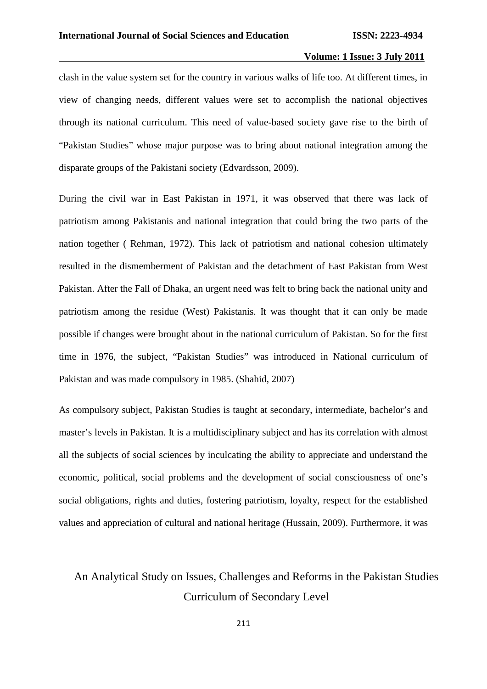clash in the value system set for the country in various walks of life too. At different times, in view of changing needs, different values were set to accomplish the national objectives through its national curriculum. This need of value-based society gave rise to the birth of "Pakistan Studies" whose major purpose was to bring about national integration among the disparate groups of the Pakistani society (Edvardsson, 2009).

During the civil war in East Pakistan in 1971, it was observed that there was lack of patriotism among Pakistanis and national integration that could bring the two parts of the nation together ( Rehman, 1972). This lack of patriotism and national cohesion ultimately resulted in the dismemberment of Pakistan and the detachment of East Pakistan from West Pakistan. After the Fall of Dhaka, an urgent need was felt to bring back the national unity and patriotism among the residue (West) Pakistanis. It was thought that it can only be made possible if changes were brought about in the national curriculum of Pakistan. So for the first time in 1976, the subject, "Pakistan Studies" was introduced in National curriculum of Pakistan and was made compulsory in 1985. (Shahid, 2007)

As compulsory subject, Pakistan Studies is taught at secondary, intermediate, bachelor's and master's levels in Pakistan. It is a multidisciplinary subject and has its correlation with almost all the subjects of social sciences by inculcating the ability to appreciate and understand the economic, political, social problems and the development of social consciousness of one's social obligations, rights and duties, fostering patriotism, loyalty, respect for the established values and appreciation of cultural and national heritage (Hussain, 2009). Furthermore, it was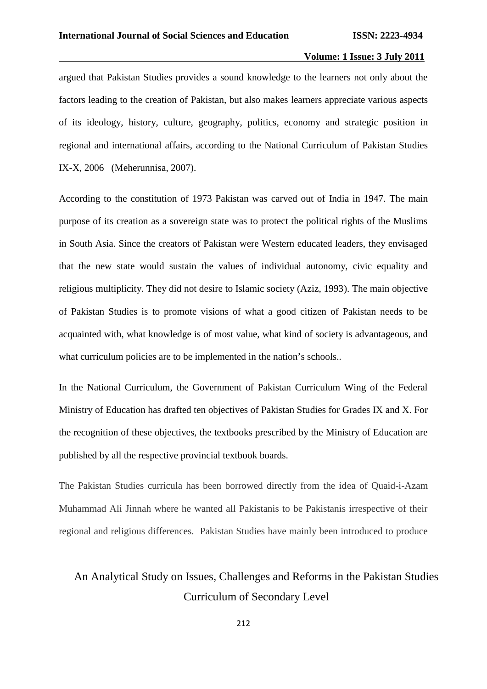argued that Pakistan Studies provides a sound knowledge to the learners not only about the factors leading to the creation of Pakistan, but also makes learners appreciate various aspects of its ideology, history, culture, geography, politics, economy and strategic position in regional and international affairs, according to the National Curriculum of Pakistan Studies IX-X, 2006 (Meherunnisa, 2007).

According to the constitution of 1973 Pakistan was carved out of India in 1947. The main purpose of its creation as a sovereign state was to protect the political rights of the Muslims in South Asia. Since the creators of Pakistan were Western educated leaders, they envisaged that the new state would sustain the values of individual autonomy, civic equality and religious multiplicity. They did not desire to Islamic society (Aziz, 1993). The main objective of Pakistan Studies is to promote visions of what a good citizen of Pakistan needs to be acquainted with, what knowledge is of most value, what kind of society is advantageous, and what curriculum policies are to be implemented in the nation's schools..

In the National Curriculum, the Government of Pakistan Curriculum Wing of the Federal Ministry of Education has drafted ten objectives of Pakistan Studies for Grades IX and X. For the recognition of these objectives, the textbooks prescribed by the Ministry of Education are published by all the respective provincial textbook boards.

The Pakistan Studies curricula has been borrowed directly from the idea of Quaid-i-Azam Muhammad Ali Jinnah where he wanted all Pakistanis to be Pakistanis irrespective of their regional and religious differences. Pakistan Studies have mainly been introduced to produce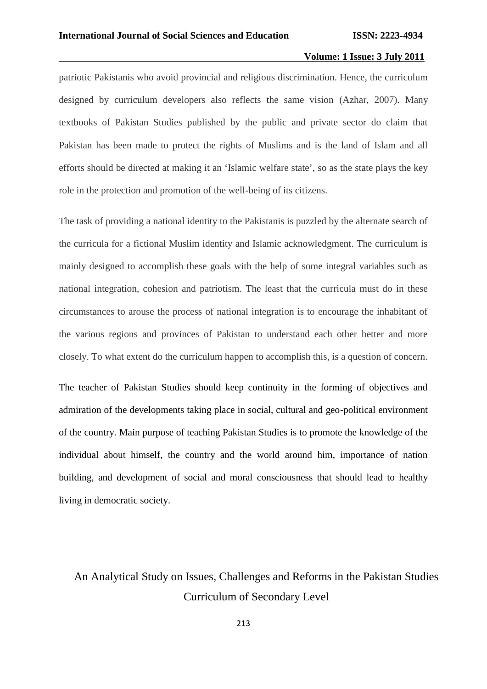patriotic Pakistanis who avoid provincial and religious discrimination. Hence, the curriculum designed by curriculum developers also reflects the same vision (Azhar, 2007). Many textbooks of Pakistan Studies published by the public and private sector do claim that Pakistan has been made to protect the rights of Muslims and is the land of Islam and all efforts should be directed at making it an 'Islamic welfare state', so as the state plays the key role in the protection and promotion of the well-being of its citizens.

The task of providing a national identity to the Pakistanis is puzzled by the alternate search of the curricula for a fictional Muslim identity and Islamic acknowledgment. The curriculum is mainly designed to accomplish these goals with the help of some integral variables such as national integration, cohesion and patriotism. The least that the curricula must do in these circumstances to arouse the process of national integration is to encourage the inhabitant of the various regions and provinces of Pakistan to understand each other better and more closely. To what extent do the curriculum happen to accomplish this, is a question of concern.

The teacher of Pakistan Studies should keep continuity in the forming of objectives and admiration of the developments taking place in social, cultural and geo-political environment of the country. Main purpose of teaching Pakistan Studies is to promote the knowledge of the individual about himself, the country and the world around him, importance of nation building, and development of social and moral consciousness that should lead to healthy living in democratic society.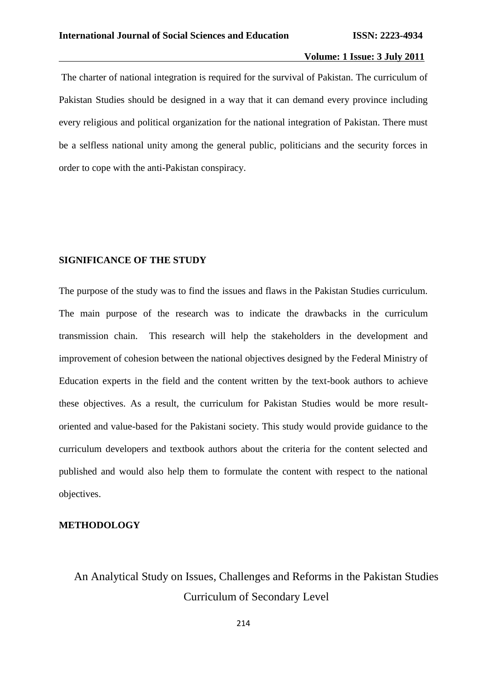The charter of national integration is required for the survival of Pakistan. The curriculum of Pakistan Studies should be designed in a way that it can demand every province including every religious and political organization for the national integration of Pakistan. There must be a selfless national unity among the general public, politicians and the security forces in order to cope with the anti-Pakistan conspiracy.

#### **SIGNIFICANCE OF THE STUDY**

The purpose of the study was to find the issues and flaws in the Pakistan Studies curriculum. The main purpose of the research was to indicate the drawbacks in the curriculum transmission chain. This research will help the stakeholders in the development and improvement of cohesion between the national objectives designed by the Federal Ministry of Education experts in the field and the content written by the text-book authors to achieve these objectives. As a result, the curriculum for Pakistan Studies would be more result oriented and value-based for the Pakistani society. This study would provide guidance to the curriculum developers and textbook authors about the criteria for the content selected and published and would also help them to formulate the content with respect to the national objectives.

#### **METHODOLOGY**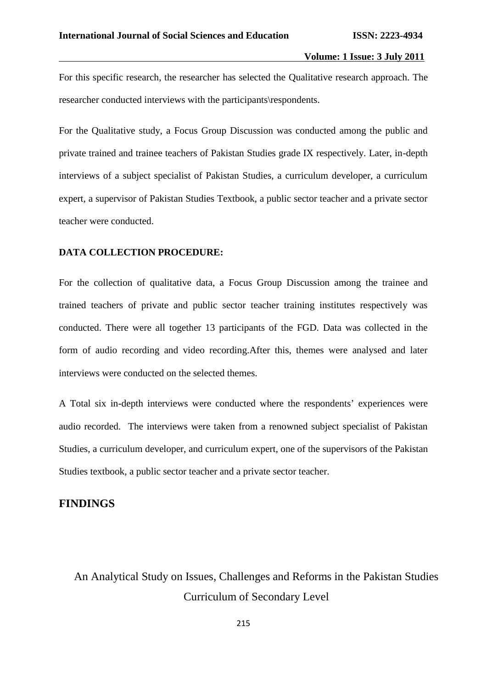For this specific research, the researcher has selected the Qualitative research approach. The researcher conducted interviews with the participants\respondents.

For the Qualitative study, a Focus Group Discussion was conducted among the public and private trained and trainee teachers of Pakistan Studies grade IX respectively. Later, in-depth interviews of a subject specialist of Pakistan Studies, a curriculum developer, a curriculum expert, a supervisor of Pakistan Studies Textbook, a public sector teacher and a private sector teacher were conducted.

### **DATA COLLECTION PROCEDURE:**

For the collection of qualitative data, a Focus Group Discussion among the trainee and trained teachers of private and public sector teacher training institutes respectively was conducted. There were all together 13 participants of the FGD. Data was collected in the form of audio recording and video recording.After this, themes were analysed and later interviews were conducted on the selected themes.

A Total six in-depth interviews were conducted where the respondents' experiences were audio recorded. The interviews were taken from a renowned subject specialist of Pakistan Studies, a curriculum developer, and curriculum expert, one of the supervisors of the Pakistan Studies textbook, a public sector teacher and a private sector teacher.

### **FINDINGS**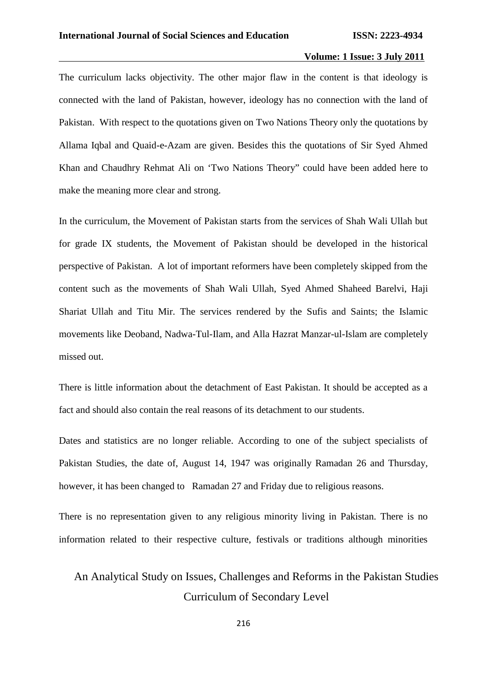The curriculum lacks objectivity. The other major flaw in the content is that ideology is connected with the land of Pakistan, however, ideology has no connection with the land of Pakistan. With respect to the quotations given on Two Nations Theory only the quotations by Allama Iqbal and Quaid-e-Azam are given. Besides this the quotations of Sir Syed Ahmed Khan and Chaudhry Rehmat Ali on 'Two Nations Theory" could have been added here to make the meaning more clear and strong.

In the curriculum, the Movement of Pakistan starts from the services of Shah Wali Ullah but for grade IX students, the Movement of Pakistan should be developed in the historical perspective of Pakistan. A lot of important reformers have been completely skipped from the content such as the movements of Shah Wali Ullah, Syed Ahmed Shaheed Barelvi, Haji Shariat Ullah and Titu Mir. The services rendered by the Sufis and Saints; the Islamic movements like Deoband, Nadwa-Tul-Ilam, and Alla Hazrat Manzar-ul-Islam are completely missed out.

There is little information about the detachment of East Pakistan. It should be accepted as a fact and should also contain the real reasons of its detachment to our students.

Dates and statistics are no longer reliable. According to one of the subject specialists of Pakistan Studies, the date of, August 14, 1947 was originally Ramadan 26 and Thursday, however, it has been changed to Ramadan 27 and Friday due to religious reasons.

There is no representation given to any religious minority living in Pakistan. There is no information related to their respective culture, festivals or traditions although minorities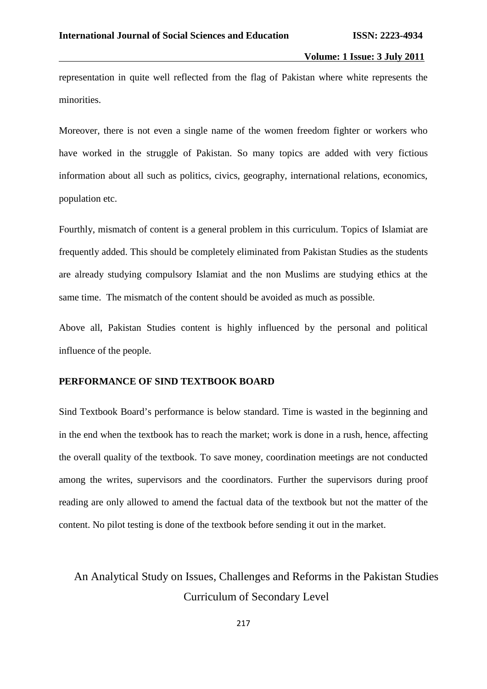representation in quite well reflected from the flag of Pakistan where white represents the minorities.

Moreover, there is not even a single name of the women freedom fighter or workers who have worked in the struggle of Pakistan. So many topics are added with very fictious information about all such as politics, civics, geography, international relations, economics, population etc.

Fourthly, mismatch of content is a general problem in this curriculum. Topics of Islamiat are frequently added. This should be completely eliminated from Pakistan Studies as the students are already studying compulsory Islamiat and the non Muslims are studying ethics at the same time. The mismatch of the content should be avoided as much as possible.

Above all, Pakistan Studies content is highly influenced by the personal and political influence of the people.

### **PERFORMANCE OF SIND TEXTBOOK BOARD**

Sind Textbook Board's performance is below standard. Time is wasted in the beginning and in the end when the textbook has to reach the market; work is done in a rush, hence, affecting the overall quality of the textbook. To save money, coordination meetings are not conducted among the writes, supervisors and the coordinators. Further the supervisors during proof reading are only allowed to amend the factual data of the textbook but not the matter of the content. No pilot testing is done of the textbook before sending it out in the market.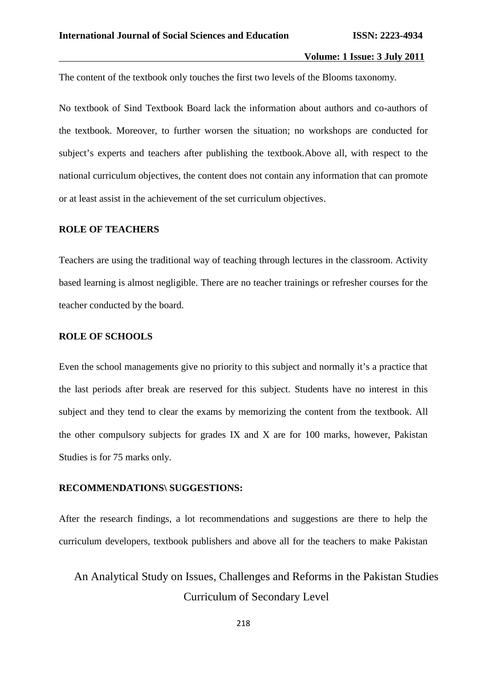The content of the textbook only touches the first two levels of the Blooms taxonomy.

No textbook of Sind Textbook Board lack the information about authors and co-authors of the textbook. Moreover, to further worsen the situation; no workshops are conducted for subject's experts and teachers after publishing the textbook.Above all, with respect to the national curriculum objectives, the content does not contain any information that can promote or at least assist in the achievement of the set curriculum objectives.

### **ROLE OF TEACHERS**

Teachers are using the traditional way of teaching through lectures in the classroom. Activity based learning is almost negligible. There are no teacher trainings or refresher courses for the teacher conducted by the board.

### **ROLE OF SCHOOLS**

Even the school managements give no priority to this subject and normally it's a practice that the last periods after break are reserved for this subject. Students have no interest in this subject and they tend to clear the exams by memorizing the content from the textbook. All the other compulsory subjects for grades IX and X are for 100 marks, however, Pakistan Studies is for 75 marks only.

### **RECOMMENDATIONS\ SUGGESTIONS:**

After the research findings, a lot recommendations and suggestions are there to help the curriculum developers, textbook publishers and above all for the teachers to make Pakistan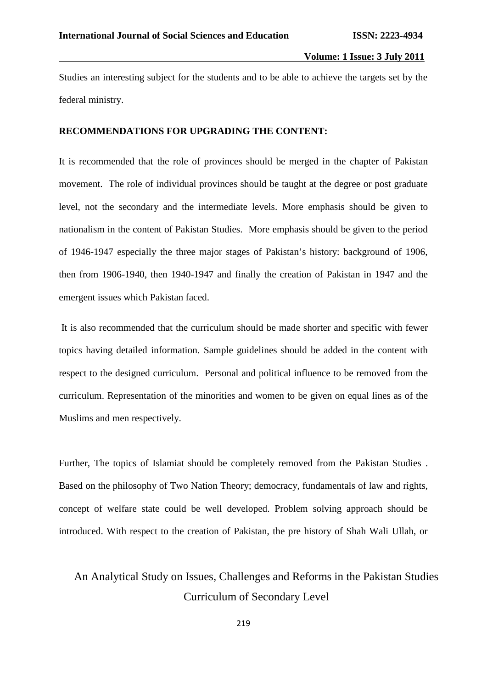Studies an interesting subject for the students and to be able to achieve the targets set by the federal ministry.

### **RECOMMENDATIONS FOR UPGRADING THE CONTENT:**

It is recommended that the role of provinces should be merged in the chapter of Pakistan movement. The role of individual provinces should be taught at the degree or post graduate level, not the secondary and the intermediate levels. More emphasis should be given to nationalism in the content of Pakistan Studies. More emphasis should be given to the period of 1946-1947 especially the three major stages of Pakistan's history: background of 1906, then from 1906-1940, then 1940-1947 and finally the creation of Pakistan in 1947 and the emergent issues which Pakistan faced.

It is also recommended that the curriculum should be made shorter and specific with fewer topics having detailed information. Sample guidelines should be added in the content with respect to the designed curriculum. Personal and political influence to be removed from the curriculum. Representation of the minorities and women to be given on equal lines as of the Muslims and men respectively.

Further, The topics of Islamiat should be completely removed from the Pakistan Studies . Based on the philosophy of Two Nation Theory; democracy, fundamentals of law and rights, concept of welfare state could be well developed. Problem solving approach should be introduced. With respect to the creation of Pakistan, the pre history of Shah Wali Ullah, or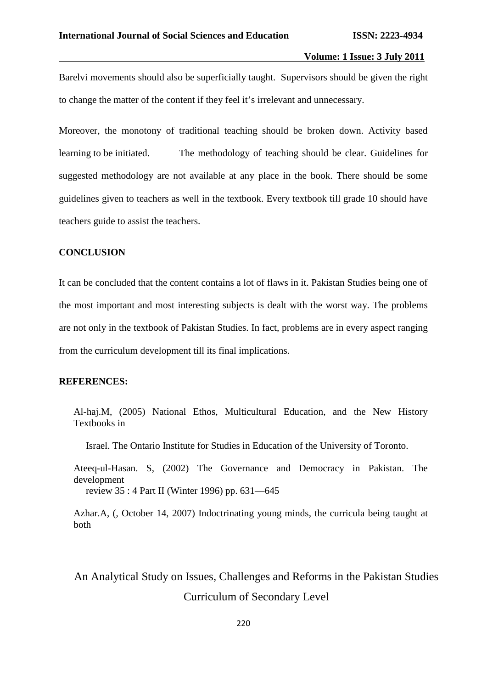Barelvi movements should also be superficially taught. Supervisors should be given the right to change the matter of the content if they feel it's irrelevant and unnecessary.

Moreover, the monotony of traditional teaching should be broken down. Activity based learning to be initiated. The methodology of teaching should be clear. Guidelines for suggested methodology are not available at any place in the book. There should be some guidelines given to teachers as well in the textbook. Every textbook till grade 10 should have teachers guide to assist the teachers.

### **CONCLUSION**

It can be concluded that the content contains a lot of flaws in it. Pakistan Studies being one of the most important and most interesting subjects is dealt with the worst way. The problems are not only in the textbook of Pakistan Studies. In fact, problems are in every aspect ranging from the curriculum development till its final implications.

#### **REFERENCES:**

Al-haj.M, (2005) National Ethos, Multicultural Education, and the New History Textbooks in

Israel. The Ontario Institute for Studies in Education of the University of Toronto.

Ateeq-ul-Hasan. S, (2002) The Governance and Democracy in Pakistan. The development review 35 : 4 Part II (Winter 1996) pp. 631—645

Azhar.A, (, October 14, 2007) Indoctrinating young minds, the curricula being taught at both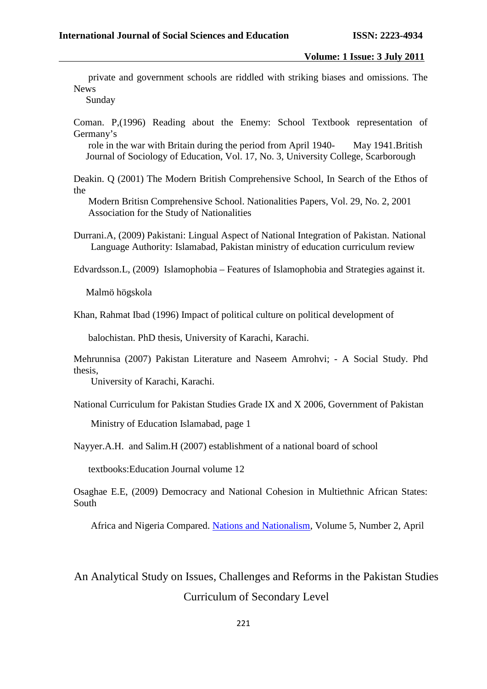private and government schools are riddled with striking biases and omissions. The News

Sunday

Coman. P,(1996) Reading about the Enemy: School Textbook representation of Germany's

role in the war with Britain during the period from April 1940- May 1941.British Journal of Sociology of Education, Vol. 17, No. 3, University College, Scarborough

Deakin. Q (2001) The Modern British Comprehensive School, In Search of the Ethos of the

Modern Britisn Comprehensive School. Nationalities Papers, Vol. 29, No. 2, 2001 Association for the Study of Nationalities

Durrani.A, (2009) Pakistani: Lingual Aspect of National Integration of Pakistan. National Language Authority: Islamabad, Pakistan ministry of education curriculum review

Edvardsson.L, (2009) Islamophobia – Features of Islamophobia and Strategies against it.

Malmö högskola

Khan, Rahmat Ibad (1996) Impact of political culture on political development of

balochistan. PhD thesis, University of Karachi, Karachi.

Mehrunnisa (2007) Pakistan Literature and Naseem Amrohvi; - A Social Study. Phd thesis,

University of Karachi, Karachi.

National Curriculum for Pakistan Studies Grade IX and X 2006, Government of Pakistan

Ministry of Education Islamabad, page 1

Nayyer.A.H. and Salim.H (2007) establishment of a national board of school

textbooks:Education Journal volume 12

Osaghae E.E, (2009) Democracy and National Cohesion in Multiethnic African States: South

Africa and Nigeria Compared. Nations and Nationalism, Volume 5, Number 2, April